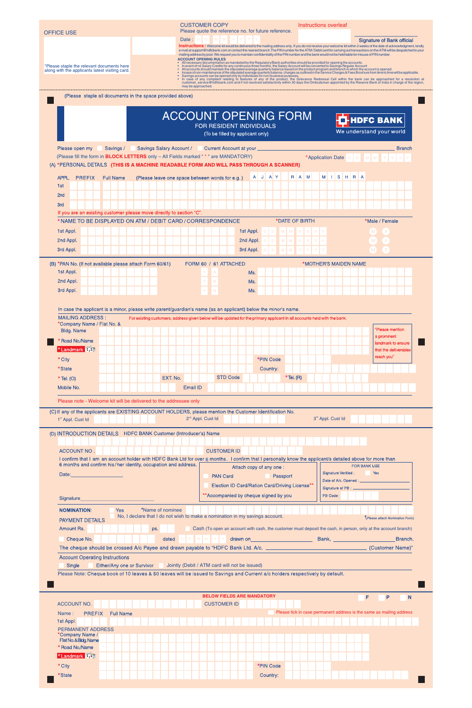| <b>OFFICE USE</b>                                                                             | <b>CUSTOMER COPY</b><br>Instructions overleaf<br>Please quote the reference no. for future reference.                                                                                                                                                                                                                                                                                                                                                                                                                                                                                                                                                                                                                                        |                       |
|-----------------------------------------------------------------------------------------------|----------------------------------------------------------------------------------------------------------------------------------------------------------------------------------------------------------------------------------------------------------------------------------------------------------------------------------------------------------------------------------------------------------------------------------------------------------------------------------------------------------------------------------------------------------------------------------------------------------------------------------------------------------------------------------------------------------------------------------------------|-----------------------|
|                                                                                               | Date: $D$ $D$ $M$ $M$ $Y$ $Y$<br><b>Signature of Bank official</b><br>Instructions: Welcome kit would be delivered to the mailing address only. If you do not receive your welcome kit within 2 weeks of the date of acknowledgment, kindly<br>e-mail at support@hdfcbank.com or contact the nearest branch. The PIN number for the ATM/Debit card for carrying out transactions on the ATM will be despatched to your<br>mailing address by post. We request you to maintain confidentiality of the PIN number and the bank would not be held liable for misuse of PIN number.<br><b>ACCOUNT OPENING RULES</b><br>• All necessary documentation as mandated by the Regulatory/Bank authorities should be provided for opening the accounts. |                       |
| *Please staple the relevant documents here<br>along with the applicants latest visiting card. | • In event of no Salary Credits for any continuous three months, the Salary Account will be converted to Savings Regular Account<br>• All accounts should maintain the stipulated average quarterly balance based on the product program and branch in which the account is opened.<br>• Incase of non-maintenance of the stipulated average quarterly balance, charg<br>• In case of any complaint relating to features of any of the product, the Grievance Redressal Cell within the bank can be approached for a resolution at<br>customer_service@hdfcbank.com and if not resolved satisfactorily within 30 days the Ombudsman appointed by the Reserve Bank of India in charge of the region,<br>may be approached.                    |                       |
| (Please staple all documents in the space provided above)                                     |                                                                                                                                                                                                                                                                                                                                                                                                                                                                                                                                                                                                                                                                                                                                              |                       |
|                                                                                               | <b>ACCOUNT OPENING FORM</b>                                                                                                                                                                                                                                                                                                                                                                                                                                                                                                                                                                                                                                                                                                                  |                       |
|                                                                                               | <b>HDFC BANK</b><br>FOR RESIDENT INDIVIDUALS<br>We understand your world<br>(To be filled by applicant only)                                                                                                                                                                                                                                                                                                                                                                                                                                                                                                                                                                                                                                 |                       |
| Please open my<br>Savings /                                                                   | Savings Salary Account /<br>Current Account at your _<br>(Please fill the form in <b>BLOCK LETTERS</b> only - All Fields marked "* " are MANDATORY)<br>*Application Date<br>DIDIMIM<br>(A) *PERSONAL DETAILS (THIS IS A MACHINE READABLE FORM AND WILL PASS THROUGH A SCANNER)                                                                                                                                                                                                                                                                                                                                                                                                                                                               | <b>Branch</b>         |
| <b>PREFIX</b><br>APPL.<br><b>Full Name</b><br>1st                                             | M ISHRA<br>A J A Y<br>R A M<br>(Please leave one space between words for e.g.)                                                                                                                                                                                                                                                                                                                                                                                                                                                                                                                                                                                                                                                               |                       |
| 2 <sub>nd</sub><br>3rd                                                                        |                                                                                                                                                                                                                                                                                                                                                                                                                                                                                                                                                                                                                                                                                                                                              |                       |
| If you are an existing customer please move directly to section "C".                          |                                                                                                                                                                                                                                                                                                                                                                                                                                                                                                                                                                                                                                                                                                                                              |                       |
| 1st Appl.                                                                                     | * NAME TO BE DISPLAYED ON ATM / DEBIT CARD / CORRESPONDENCE<br>*DATE OF BIRTH<br>*Male / Female<br>1st Appl.<br>M M                                                                                                                                                                                                                                                                                                                                                                                                                                                                                                                                                                                                                          |                       |
| 2nd Appl.                                                                                     | 2nd Appl.<br>M M                                                                                                                                                                                                                                                                                                                                                                                                                                                                                                                                                                                                                                                                                                                             |                       |
| 3rd Appl.                                                                                     | 3rd Appl.<br>M<br>M I                                                                                                                                                                                                                                                                                                                                                                                                                                                                                                                                                                                                                                                                                                                        |                       |
| (B) *PAN No. (If not available please attach Form 60/61)<br>1st Appl.                         | FORM 60 / 61 ATTACHED<br>*MOTHER'S MAIDEN NAME<br>Ms.                                                                                                                                                                                                                                                                                                                                                                                                                                                                                                                                                                                                                                                                                        |                       |
| 2nd Appl.                                                                                     | Ms.                                                                                                                                                                                                                                                                                                                                                                                                                                                                                                                                                                                                                                                                                                                                          |                       |
| 3rd Appl.                                                                                     | <b>N</b><br>Ms.                                                                                                                                                                                                                                                                                                                                                                                                                                                                                                                                                                                                                                                                                                                              |                       |
| <b>MAILING ADDRESS:</b><br>*Company Name / Flat No. &<br><b>Bldg. Name</b>                    | In case the applicant is a minor, please write parent/guardian's name (as an applicant) below the minor's name.<br>For existing customers, address given below will be updated for the primary applicant in all accounts held with the bank.<br>"Please mention                                                                                                                                                                                                                                                                                                                                                                                                                                                                              |                       |
| Road No./Name<br>*Landmark <b>FFF</b>                                                         | a prominent<br>landmark to ensure                                                                                                                                                                                                                                                                                                                                                                                                                                                                                                                                                                                                                                                                                                            | that the deliverables |
| * City                                                                                        | reach you"<br>*PIN Code                                                                                                                                                                                                                                                                                                                                                                                                                                                                                                                                                                                                                                                                                                                      |                       |
| *State<br>$*$ Tel. (O)                                                                        | Country:<br><b>STD Code</b><br>$*$ Tel. (R)<br>EXT. No.                                                                                                                                                                                                                                                                                                                                                                                                                                                                                                                                                                                                                                                                                      |                       |
| Mobile No.                                                                                    | Email ID                                                                                                                                                                                                                                                                                                                                                                                                                                                                                                                                                                                                                                                                                                                                     |                       |
| Please note - Welcome kit will be delivered to the addressee only                             |                                                                                                                                                                                                                                                                                                                                                                                                                                                                                                                                                                                                                                                                                                                                              |                       |
| 1 <sup>st</sup> Appl. Cust Id                                                                 | (C) If any of the applicants are EXISTING ACCOUNT HOLDERS, please mention the Customer Identification No.<br>2 <sup>nd</sup> Appl. Cust Id<br>3rd Appl. Cust Id                                                                                                                                                                                                                                                                                                                                                                                                                                                                                                                                                                              |                       |
| (D) INTRODUCTION DETAILS HDFC BANK Customer (Introducer's) Name                               |                                                                                                                                                                                                                                                                                                                                                                                                                                                                                                                                                                                                                                                                                                                                              |                       |
| ACCOUNT NO.                                                                                   | <b>CUSTOMER ID</b>                                                                                                                                                                                                                                                                                                                                                                                                                                                                                                                                                                                                                                                                                                                           |                       |
| 6 months and confirm his/her identity, occupation and address.                                | I confirm that I am an account holder with HDFC Bank Ltd for over 6 months. I confirm that I personally know the applicant/s detailed above for more than<br><b>FOR BANK USE</b><br>Attach copy of any one:                                                                                                                                                                                                                                                                                                                                                                                                                                                                                                                                  |                       |
| Date:                                                                                         | <b>Excess Press</b><br><b>Signature Verified:</b><br><b>PAN Card</b><br>Passport<br>Date of A/c. Opened : __________<br>Election ID Card/Ration Card/Driving License**                                                                                                                                                                                                                                                                                                                                                                                                                                                                                                                                                                       |                       |
| Signature                                                                                     | Signature of PB : _<br>** Accompanied by cheque signed by you<br>PB Code:                                                                                                                                                                                                                                                                                                                                                                                                                                                                                                                                                                                                                                                                    |                       |
| <b>NOMINATION:</b> Yes <b>The Yes</b> Yes <b>The Yes</b> Yame of nominee                      |                                                                                                                                                                                                                                                                                                                                                                                                                                                                                                                                                                                                                                                                                                                                              |                       |
| <b>PAYMENT DETAILS</b>                                                                        | No, I declare that I do not wish to make a nomination in my savings account.<br>"(Please attach Nomination Form)                                                                                                                                                                                                                                                                                                                                                                                                                                                                                                                                                                                                                             |                       |
| Amount Rs.<br>Cheque No.                                                                      | Cash (To open an account with cash, the customer must deposit the cash, in person, only at the account branch)<br>ps.<br>drawn on<br>Bank, National Contract of the Second State<br><u> 1990 - Johann Barn, mars ann an t-</u><br>dated                                                                                                                                                                                                                                                                                                                                                                                                                                                                                                      | Branch.               |
|                                                                                               | The cheque should be crossed A/c Payee and drawn payable to "HDFC Bank Ltd. A/c.<br>(Customer Name)"                                                                                                                                                                                                                                                                                                                                                                                                                                                                                                                                                                                                                                         |                       |
| <b>Account Operating Instructions</b><br>Single<br>Either/Any one or Survivor                 | Jointly (Debit / ATM card will not be issued)                                                                                                                                                                                                                                                                                                                                                                                                                                                                                                                                                                                                                                                                                                |                       |
|                                                                                               | Please Note: Cheque book of 10 leaves & 50 leaves will be issued to Savings and Current a/c holders respectively by default.                                                                                                                                                                                                                                                                                                                                                                                                                                                                                                                                                                                                                 |                       |
| <b>ACCOUNT NO.</b>                                                                            | <b>BELOW FIELDS ARE MANDATORY</b><br>F<br>P<br><b>CUSTOMER ID</b>                                                                                                                                                                                                                                                                                                                                                                                                                                                                                                                                                                                                                                                                            | <sub>N</sub>          |
| <b>PREFIX</b><br><b>Full Name</b><br>Name:                                                    | Please tick in case permanent address is the same as mailing address                                                                                                                                                                                                                                                                                                                                                                                                                                                                                                                                                                                                                                                                         |                       |
| 1st Appl.<br><b>PERMANENT ADDRESS</b>                                                         |                                                                                                                                                                                                                                                                                                                                                                                                                                                                                                                                                                                                                                                                                                                                              |                       |
| *Company Name /<br>Flat No. & Bldg. Name                                                      |                                                                                                                                                                                                                                                                                                                                                                                                                                                                                                                                                                                                                                                                                                                                              |                       |
| * Road No./Name<br>*Landmark HH                                                               |                                                                                                                                                                                                                                                                                                                                                                                                                                                                                                                                                                                                                                                                                                                                              |                       |
| * City                                                                                        | *PIN Code                                                                                                                                                                                                                                                                                                                                                                                                                                                                                                                                                                                                                                                                                                                                    |                       |
| *State                                                                                        | Country:                                                                                                                                                                                                                                                                                                                                                                                                                                                                                                                                                                                                                                                                                                                                     |                       |